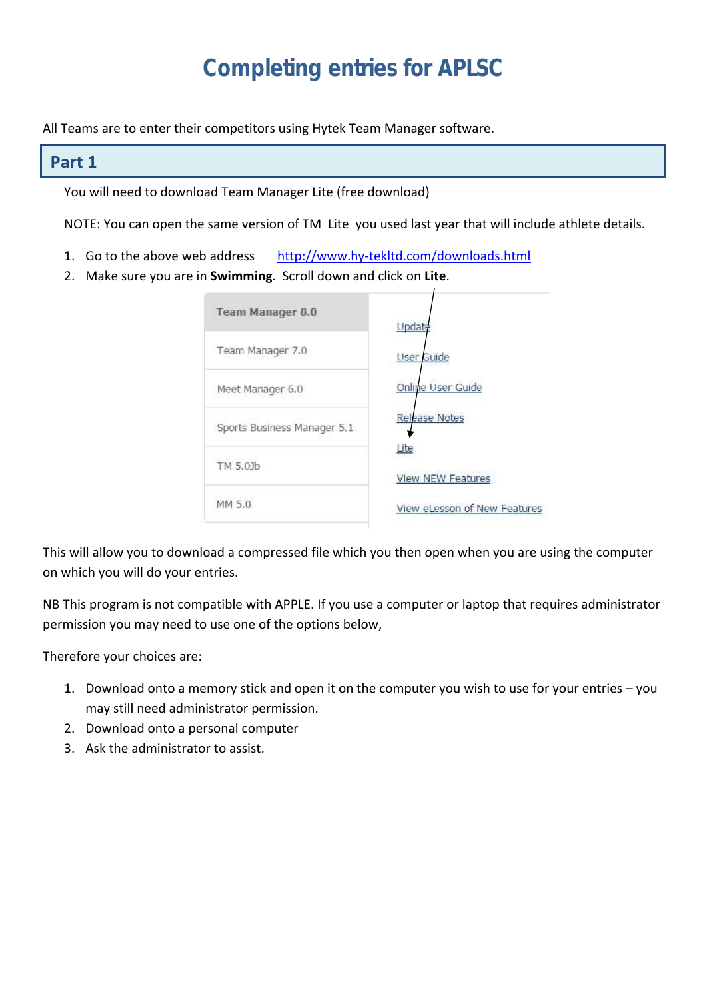# **Completing entries for APLSC**

All Teams are to enter their competitors using Hytek Team Manager software.

#### **Part 1**

You will need to download Team Manager Lite (free download)

NOTE: You can open the same version of TM Lite you used last year that will include athlete details.

- 1. Go to the above web address <http://www.hy-tekltd.com/downloads.html>
- 2. Make sure you are in **Swimming**. Scroll down and click on **Lite**.

| <b>Team Manager 8.0</b>     | Update                           |
|-----------------------------|----------------------------------|
| Team Manager 7.0            | <b>User Guide</b>                |
| Meet Manager 6.0            | Online User Guide                |
| Sports Business Manager 5.1 | <b>Release Notes</b>             |
| TM 5.01b                    | Lite<br><b>View NEW Features</b> |
| MM 5.0                      | View eLesson of New Features     |

This will allow you to download a compressed file which you then open when you are using the computer on which you will do your entries.

NB This program is not compatible with APPLE. If you use a computer or laptop that requires administrator permission you may need to use one of the options below,

Therefore your choices are:

- 1. Download onto a memory stick and open it on the computer you wish to use for your entries you may still need administrator permission.
- 2. Download onto a personal computer
- 3. Ask the administrator to assist.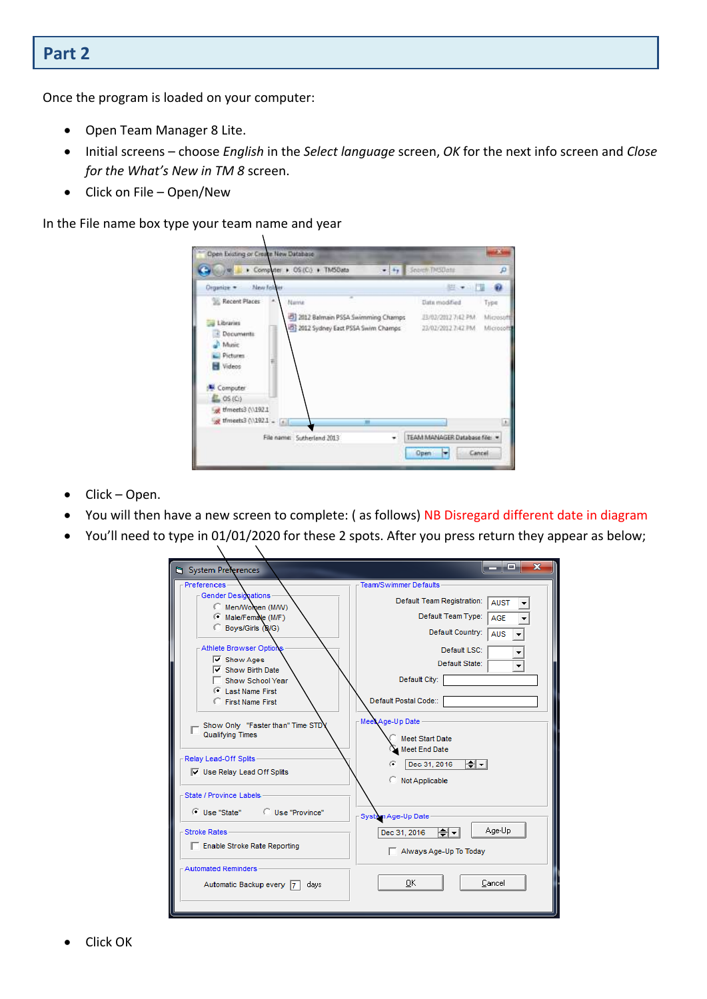# **Part 2**

Once the program is loaded on your computer:

- Open Team Manager 8 Lite.
- Initial screens choose *English* in the *Select language* screen, *OK* for the next info screen and *Close for the What's New in TM 8* screen.
- $\bullet$  Click on File Open/New

In the File name box type your team name and year

X

X

| Open Existing or Create New Database                                                                                                                             |                                                 |                        |
|------------------------------------------------------------------------------------------------------------------------------------------------------------------|-------------------------------------------------|------------------------|
| Computer > OS(C) + TMSData<br>$-14.1$                                                                                                                            | Search ThroData                                 | p                      |
| <b>New falder</b><br>Organize *                                                                                                                                  |                                                 |                        |
| Recent Places<br>×<br>Name                                                                                                                                       | Date modified                                   | Type                   |
| 2012 Balmain PSSA Swimming Champs<br>Libraries<br>2012 Sydney East PSSA Swim Champs<br>E Documents<br>Music<br>Pictures.<br>Videos<br>Computer<br>$\Box$ $OS(O)$ | J3/02/2012 7:42 PM<br>23/02/2012 7:42 PM        | Microsoft<br>Microsoft |
| timeets3 (\\192.1)<br>of theets3 (\\192.1 = [a]]<br>m<br>File name: Sutherland 2013                                                                              | TEAM MANAGER Database file: -<br>Cancel<br>Open | 1.6                    |

- Click Open.
- You will then have a new screen to complete: ( as follows) NB Disregard different date in diagram
- You'll need to type in 01/01/2020 for these 2 spots. After you press return they appear as below;

| System Preferences                                                                                                                                                                  | <u>_ 10</u><br>x                                                                                                                  |
|-------------------------------------------------------------------------------------------------------------------------------------------------------------------------------------|-----------------------------------------------------------------------------------------------------------------------------------|
| <b>Preferences</b>                                                                                                                                                                  | Team/Swimmer Defaults                                                                                                             |
| $\Gamma$ Gender Designations<br>Men/Women (M/W)                                                                                                                                     | Default Team Registration:<br><b>AUST</b>                                                                                         |
| Male/Female (M/F)                                                                                                                                                                   | Default Team Type:<br><b>AGE</b>                                                                                                  |
| Boys/Girls (B/G)                                                                                                                                                                    | Default Country:<br><b>AUS</b>                                                                                                    |
| Athlete Browser Options                                                                                                                                                             | Default LSC:                                                                                                                      |
| $\overline{\mathsf{v}}$ Show Ages                                                                                                                                                   | Default State:                                                                                                                    |
| Show Birth Date                                                                                                                                                                     | Default City:                                                                                                                     |
| Show School Year<br>Last Name First                                                                                                                                                 |                                                                                                                                   |
| <b>C</b> First Name First                                                                                                                                                           | Default Postal Code::                                                                                                             |
| Show Only "Faster than" Time STD<br>Qualifying Times<br>Relay Lead-Off Splits<br>$\nabla$ Use Relay Lead Off Splits<br>State / Province Labels<br>C Use "Province"<br>○ Use "State" | Meet Age-Up Date<br><b>Meet Start Date</b><br>Meet End Date<br>I≑L∽I<br>Dec 31, 2016<br>G<br>Not Applicable<br>System Age-Up Date |
| <b>Stroke Rates</b>                                                                                                                                                                 | Age-Up<br>∽ا⇔ا<br>Dec 31, 2016                                                                                                    |
| Enable Stroke Rate Reporting                                                                                                                                                        | Always Age-Up To Today                                                                                                            |
| Automated Reminders<br>Automatic Backup every 7<br>days                                                                                                                             | Cancel<br>0K                                                                                                                      |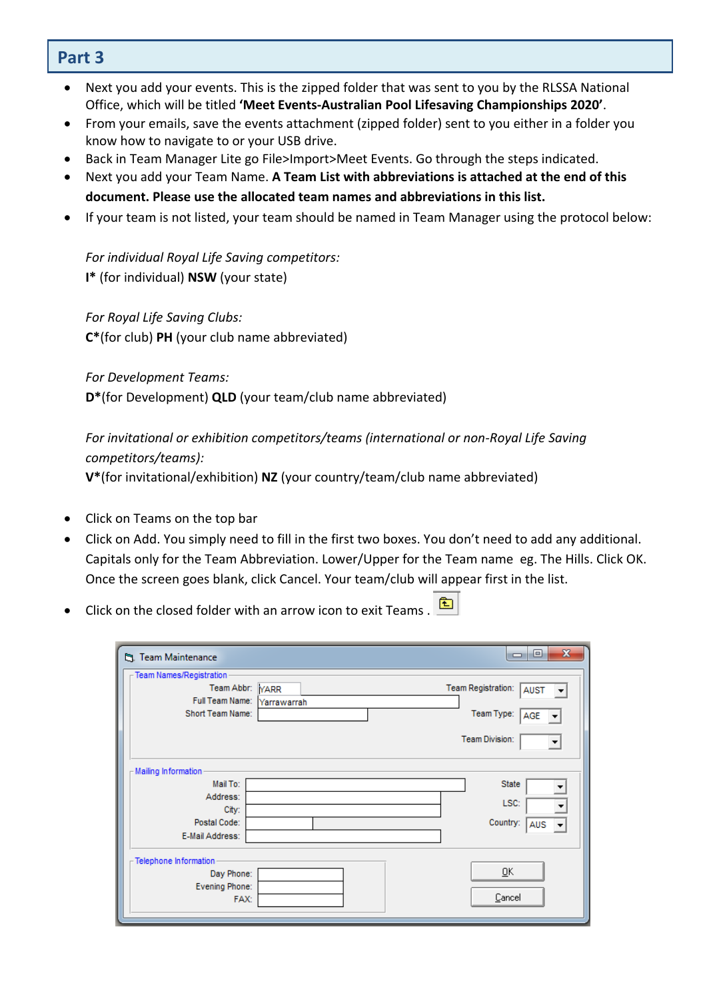#### ŗ **Part 3**

- Next you add your events. This is the zipped folder that was sent to you by the RLSSA National Office, which will be titled **'Meet Events-Australian Pool Lifesaving Championships 2020'**.
- From your emails, save the events attachment (zipped folder) sent to you either in a folder you know how to navigate to or your USB drive.
- Back in Team Manager Lite go File>Import>Meet Events. Go through the steps indicated.
- Next you add your Team Name. **A Team List with abbreviations is attached at the end of this document. Please use the allocated team names and abbreviations in this list.**
- If your team is not listed, your team should be named in Team Manager using the protocol below:

*For individual Royal Life Saving competitors:* **I\*** (for individual) **NSW** (your state)

*For Royal Life Saving Clubs:* **C\***(for club) **PH** (your club name abbreviated)

*For Development Teams:*

**D\***(for Development) **QLD** (your team/club name abbreviated)

## *For invitational or exhibition competitors/teams (international or non-Royal Life Saving competitors/teams):*

**V\***(for invitational/exhibition) **NZ** (your country/team/club name abbreviated)

- Click on Teams on the top bar
- Click on Add. You simply need to fill in the first two boxes. You don't need to add any additional. Capitals only for the Team Abbreviation. Lower/Upper for the Team name eg. The Hills. Click OK. Once the screen goes blank, click Cancel. Your team/club will appear first in the list.
- 医 Click on the closed folder with an arrow icon to exit Teams .

| <b>门</b> Team Maintenance                                                                  |             | $\mathbf{x}$<br>▣<br>$\blacksquare$                                           |
|--------------------------------------------------------------------------------------------|-------------|-------------------------------------------------------------------------------|
| $\Gamma$ Team Names/Registration<br>Team Abbr: YARR<br>Full Team Name:<br>Short Team Name: | Yarrawarrah | Team Registration:<br><b>AUST</b><br>Team Type:<br>AGE<br>Team Division:<br>▼ |
| - Mailing Information<br>Mail To:<br>Address:<br>City:<br>Postal Code:<br>E-Mail Address:  |             | <b>State</b><br>LSC:<br>Country:<br>AUS                                       |
| $\Gamma$ Telephone Information<br>Day Phone:<br>Evening Phone:<br>FAX:                     |             | ŪΚ<br>Cancel                                                                  |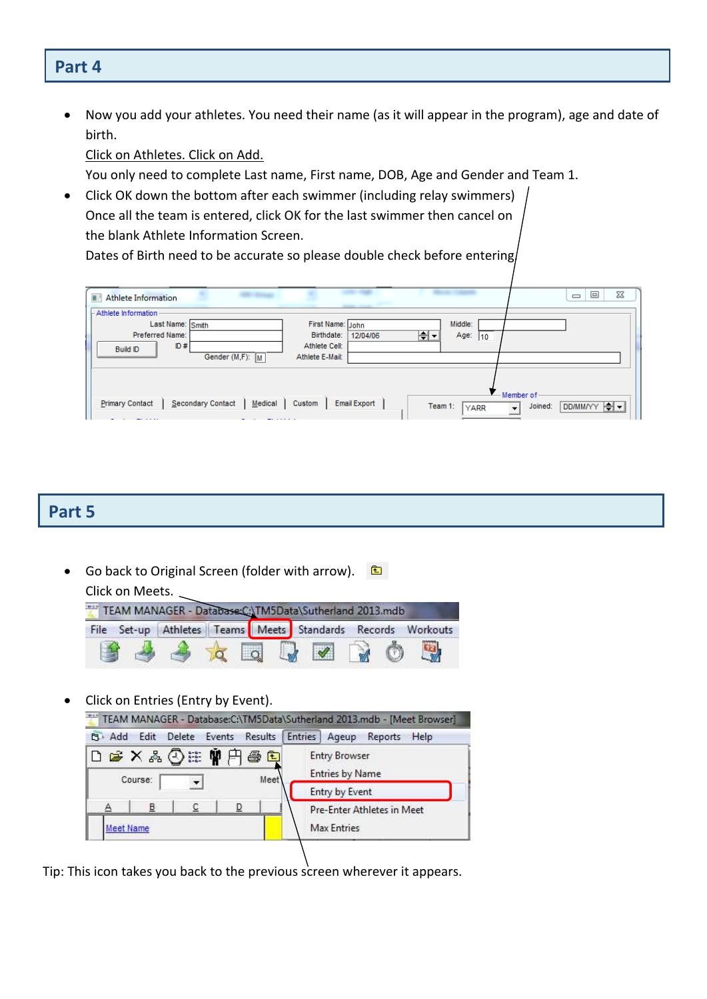## **Part 4**

 Now you add your athletes. You need their name (as it will appear in the program), age and date of birth.

Click on Athletes. Click on Add.

You only need to complete Last name, First name, DOB, Age and Gender and Team 1.

• Click OK down the bottom after each swimmer (including relay swimmers) Once all the team is entered, click OK for the last swimmer then cancel on the blank Athlete Information Screen.

Dates of Birth need to be accurate so please double check before entering.

| <b>STATISTICS</b><br><b>Athlete Information</b><br>a v |                                                         | ▣<br>⅏<br>$\qquad \qquad \Box$                       |
|--------------------------------------------------------|---------------------------------------------------------|------------------------------------------------------|
| - Athlete Information                                  | ---                                                     |                                                      |
| Last Name: Smith                                       | Middle:<br>First Name: John                             |                                                      |
| Preferred Name:                                        | ⊯⊡<br>Birthdate:<br>Age:<br>12/04/06<br>$ 10\rangle$    |                                                      |
| ID#<br><b>Build ID</b>                                 | Athlete Cell:                                           |                                                      |
| Gender (M,F): M                                        | Athlete E-Mail:                                         |                                                      |
|                                                        |                                                         |                                                      |
|                                                        |                                                         |                                                      |
|                                                        |                                                         | Member of                                            |
| Secondary Contact<br>Primary Contact<br>Medical        | <b>Email Export</b><br>Custom<br>Team 1:<br><b>YARR</b> | DD/MM/YY   ┥-<br>Joined:<br>$\overline{\phantom{a}}$ |
|                                                        |                                                         |                                                      |

#### **Part 5**

Go back to Original Screen (folder with arrow). Click on Meets.

|  |  | File Set-up Athletes Teams Meets Standards Records Workouts |  |  |
|--|--|-------------------------------------------------------------|--|--|
|  |  |                                                             |  |  |

Click on Entries (Entry by Event).



Tip: This icon takes you back to the previous screen wherever it appears.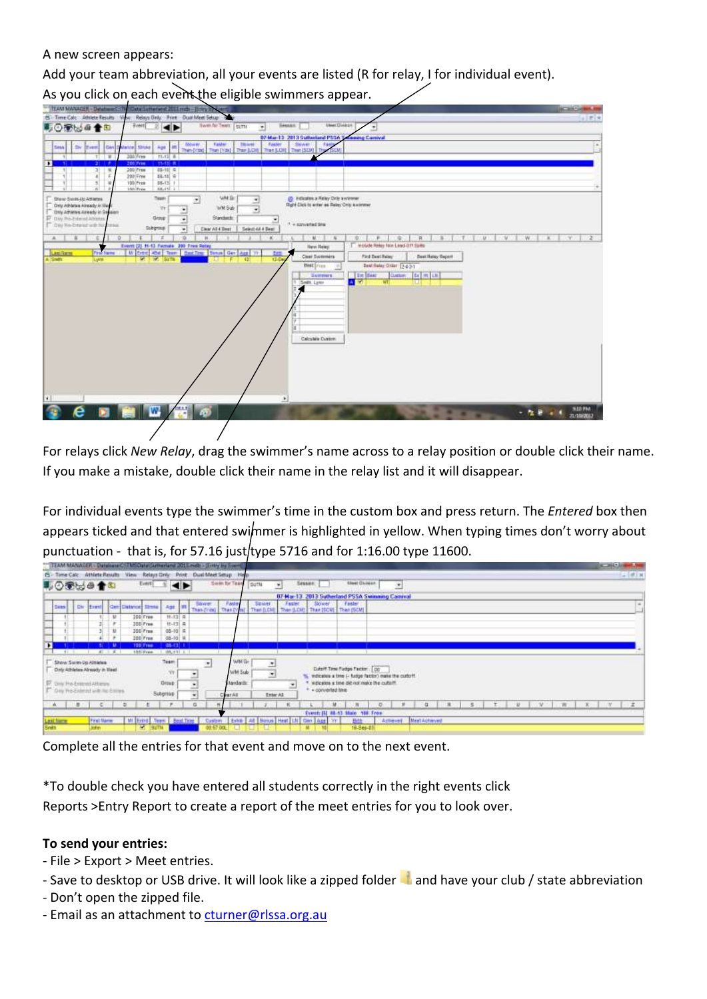A new screen appears:

Add your team abbreviation, all your events are listed (R for relay, I for individual event).

As you click on each event the eligible swimmers appear.



For relays click *New Relay*, drag the swimmer's name across to a relay position or double click their name. If you make a mistake, double click their name in the relay list and it will disappear.

For individual events type the swimmer's time in the custom box and press return. The *Entered* box then appears ticked and that entered swimmer is highlighted in yellow. When typing times don't worry about punctuation - that is, for 57.16 just/type 5716 and for 1:16.00 type 11600.

|                      |     |                                    |       | TEAM MANAGER - DatabaseChTMSGetelSchertand 201Emdb - Strity by Event, |                       |                           |        |                                     |                 |            |                                                          |                                                 |          |                  |                                                                                      |                              |           |               |   |  |  |    |     |       |  | <b>SCIENCE AND REAL PROPERTY</b> |
|----------------------|-----|------------------------------------|-------|-----------------------------------------------------------------------|-----------------------|---------------------------|--------|-------------------------------------|-----------------|------------|----------------------------------------------------------|-------------------------------------------------|----------|------------------|--------------------------------------------------------------------------------------|------------------------------|-----------|---------------|---|--|--|----|-----|-------|--|----------------------------------|
| <b>C</b> - Time Calc |     | Athlete Results                    |       | View:                                                                 | Relays Only           |                           | Print: | Dual Meet Setup Help                |                 |            |                                                          |                                                 |          |                  |                                                                                      |                              |           |               |   |  |  |    |     |       |  | $-101 - 10$                      |
| ■①面层画音图              |     |                                    |       |                                                                       | Event)                |                           |        |                                     | Swin for Team   |            | SUTH                                                     | $\ddot{}$                                       | Session: |                  |                                                                                      | <b><i>Steel Division</i></b> | ٠         |               |   |  |  |    |     |       |  |                                  |
|                      |     |                                    |       |                                                                       |                       |                           |        |                                     |                 |            |                                                          | 07-Mar 13 2013 Sutherland PSSA Swimming Camival |          |                  |                                                                                      |                              |           |               |   |  |  |    |     |       |  |                                  |
| <b>Sans</b>          | Cht | Errol                              |       | GendDatance Elma                                                      |                       | Age III                   |        | <b>Bone:</b><br>Than Frint   Than I |                 | Faster     | Smiller<br>Than (LCHE) Than (LCHE) Than (SCM) Than (SCM) | Faster                                          |          | Slower           | Faster.                                                                              |                              |           |               |   |  |  |    |     |       |  |                                  |
|                      |     |                                    | u     |                                                                       | 300 Free<br>300 Free  | 社は日<br>$11 - 13$ $R$      |        |                                     |                 |            |                                                          |                                                 |          |                  |                                                                                      |                              |           |               |   |  |  |    |     |       |  |                                  |
|                      |     |                                    | u     |                                                                       | 300 Free:<br>205 Free | $05-10$ H<br>$05-10$ H.   |        |                                     |                 |            |                                                          |                                                 |          |                  |                                                                                      |                              |           |               |   |  |  |    |     |       |  |                                  |
| п                    |     |                                    |       |                                                                       | <b>All Lines</b>      | as est n                  |        |                                     |                 |            |                                                          |                                                 |          |                  |                                                                                      |                              |           |               |   |  |  |    |     |       |  |                                  |
|                      |     | 41                                 | 3.8.3 |                                                                       | <b>SEEIFVAN</b>       | 1.199, 191-1              |        |                                     |                 |            |                                                          |                                                 |          |                  |                                                                                      |                              |           |               |   |  |  |    |     |       |  |                                  |
|                      |     | Show Swim-Up Attietes              |       |                                                                       |                       | Team                      |        |                                     |                 | WM Br      | ٠                                                        |                                                 |          |                  |                                                                                      |                              |           |               |   |  |  |    |     |       |  |                                  |
|                      |     | Daty Athletex Already in Meet      |       |                                                                       |                       | CO <sub>1</sub>           |        |                                     |                 | WM Sub-    | $\bullet$                                                |                                                 |          |                  | Cuts IT Time Fudge Factor: DC<br>indicates a time 1- fudge factor) make the cuttoff. |                              |           |               |   |  |  |    |     |       |  |                                  |
|                      |     | IF ony He-Emmi-Attests             |       |                                                                       |                       | Droub                     |        |                                     |                 | Marsdardin |                                                          |                                                 |          |                  | weighted a time did not make the culture.                                            |                              |           |               |   |  |  |    |     |       |  |                                  |
|                      |     | T. One Re-Entered with his Entrest |       |                                                                       |                       | Subgroup                  |        |                                     | <b>Tear All</b> |            | Exter All                                                |                                                 |          | + converted time |                                                                                      |                              |           |               |   |  |  |    |     |       |  |                                  |
|                      |     |                                    |       | D                                                                     |                       |                           |        | o.                                  |                 |            |                                                          |                                                 |          | u                |                                                                                      |                              |           | a             | 踵 |  |  | u. | SW- | ○ 南山戸 |  | $\mathbb{Z}$                     |
|                      |     |                                    |       |                                                                       |                       |                           |        |                                     |                 |            |                                                          |                                                 |          |                  | Event: [5] 88-53 Main 188 From                                                       |                              |           |               |   |  |  |    |     |       |  |                                  |
| Lakilmon             |     | <b>Paul Marie</b>                  |       |                                                                       |                       | MI Entre Team   Best Time |        | Castern                             |                 |            | Evite   At   Bonus   Heat   LN   Gan   Age   Yr          |                                                 |          |                  | Help                                                                                 |                              | Actional. | Mest Achieved |   |  |  |    |     |       |  |                                  |
| <b>System</b>        |     |                                    |       |                                                                       |                       |                           |        |                                     |                 |            |                                                          |                                                 |          |                  |                                                                                      |                              |           |               |   |  |  |    |     |       |  |                                  |

Complete all the entries for that event and move on to the next event.

\*To double check you have entered all students correctly in the right events click

Reports >Entry Report to create a report of the meet entries for you to look over.

#### **To send your entries:**

- File > Export > Meet entries.
- Save to desktop or USB drive. It will look like a zipped folder **and have your club** / state abbreviation
- Don't open the zipped file.
- Email as an attachment to [cturner@rlssa.org.au](mailto:cturner@rlssa.org.au)